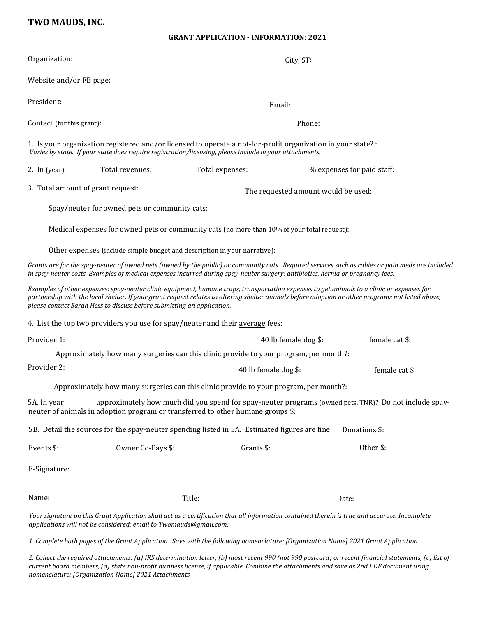## **TWO MAUDS, INC.**

## **GRANT APPLICATION - INFORMATION: 2021**

| Organization:                                                                                                                                                                                                                                                                                                                                                             | City, ST:                                                                             |                                        |                            |               |  |
|---------------------------------------------------------------------------------------------------------------------------------------------------------------------------------------------------------------------------------------------------------------------------------------------------------------------------------------------------------------------------|---------------------------------------------------------------------------------------|----------------------------------------|----------------------------|---------------|--|
| Website and/or FB page:                                                                                                                                                                                                                                                                                                                                                   |                                                                                       |                                        |                            |               |  |
| President:                                                                                                                                                                                                                                                                                                                                                                |                                                                                       |                                        | Email:                     |               |  |
| Contact (for this grant):                                                                                                                                                                                                                                                                                                                                                 |                                                                                       |                                        | Phone:                     |               |  |
| 1. Is your organization registered and/or licensed to operate a not-for-profit organization in your state? :<br>Varies by state. If your state does require registration/licensing, please include in your attachments.                                                                                                                                                   |                                                                                       |                                        |                            |               |  |
| 2. In $(year):$                                                                                                                                                                                                                                                                                                                                                           | Total revenues:                                                                       | Total expenses:                        | % expenses for paid staff: |               |  |
| 3. Total amount of grant request:                                                                                                                                                                                                                                                                                                                                         |                                                                                       | The requested amount would be used:    |                            |               |  |
| Spay/neuter for owned pets or community cats:                                                                                                                                                                                                                                                                                                                             |                                                                                       |                                        |                            |               |  |
| Medical expenses for owned pets or community cats (no more than 10% of your total request):                                                                                                                                                                                                                                                                               |                                                                                       |                                        |                            |               |  |
| Other expenses (include simple budget and description in your narrative):                                                                                                                                                                                                                                                                                                 |                                                                                       |                                        |                            |               |  |
| Grants are for the spay-neuter of owned pets (owned by the public) or community cats. Required services such as rabies or pain meds are included<br>in spay-neuter costs. Examples of medical expenses incurred during spay-neuter surgery: antibiotics, hernia or pregnancy fees.                                                                                        |                                                                                       |                                        |                            |               |  |
| Examples of other expenses: spay-neuter clinic equipment, humane traps, transportation expenses to get animals to a clinic or expenses for<br>partnership with the local shelter. If your grant request relates to altering shelter animals before adoption or other programs not listed above,<br>please contact Sarah Hess to discuss before submitting an application. |                                                                                       |                                        |                            |               |  |
| 4. List the top two providers you use for spay/neuter and their average fees:                                                                                                                                                                                                                                                                                             |                                                                                       |                                        |                            |               |  |
| Provider 1:                                                                                                                                                                                                                                                                                                                                                               |                                                                                       | 40 lb female dog \$:<br>female cat \$: |                            |               |  |
|                                                                                                                                                                                                                                                                                                                                                                           | Approximately how many surgeries can this clinic provide to your program, per month?: |                                        |                            |               |  |
| Provider 2:                                                                                                                                                                                                                                                                                                                                                               |                                                                                       | 40 lb female dog \$:                   |                            | female cat \$ |  |
| Approximately how many surgeries can this clinic provide to your program, per month?:                                                                                                                                                                                                                                                                                     |                                                                                       |                                        |                            |               |  |
| approximately how much did you spend for spay-neuter programs (owned pets, TNR)? Do not include spay-<br>5A. In year<br>neuter of animals in adoption program or transferred to other humane groups \$:                                                                                                                                                                   |                                                                                       |                                        |                            |               |  |
| 5B. Detail the sources for the spay-neuter spending listed in 5A. Estimated figures are fine.<br>Donations \$:                                                                                                                                                                                                                                                            |                                                                                       |                                        |                            |               |  |
| Events \$:                                                                                                                                                                                                                                                                                                                                                                | Owner Co-Pays \$:                                                                     | Grants \$:                             |                            | Other \$:     |  |
| E-Signature:                                                                                                                                                                                                                                                                                                                                                              |                                                                                       |                                        |                            |               |  |
| Name:                                                                                                                                                                                                                                                                                                                                                                     |                                                                                       | Title:                                 |                            | Date:         |  |
| Your signature on this Grant Application shall act as a certification that all information contained therein is true and accurate. Incomplete<br>applications will not be considered; email to Twomauds@gmail.com:                                                                                                                                                        |                                                                                       |                                        |                            |               |  |

*1. Complete both pages of the Grant Application. Save with the following nomenclature: [Organization Name] 2021 Grant Application*

*2. Collect the required attachments: (a) IRS determination letter, (b) most recent 990 (not 990 postcard) or recent financial statements, (c) list of current board members, (d) state non-profit business license, if applicable. Combine the attachments and save as 2nd PDF document using nomenclature: [Organization Name] 2021 Attachments*